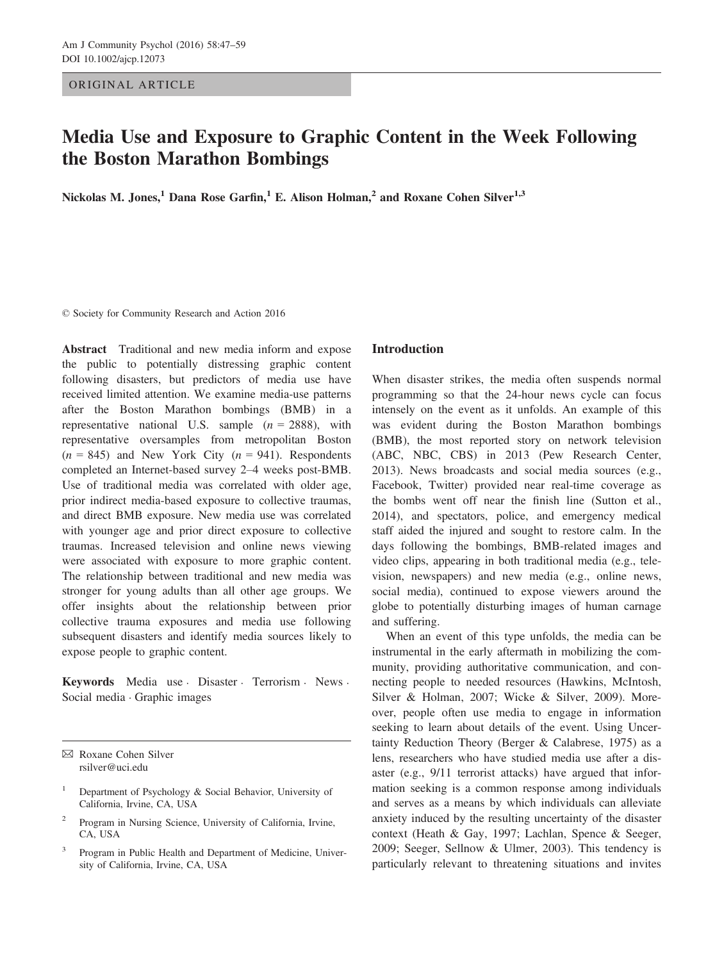ORIGINAL ARTICLE

# Media Use and Exposure to Graphic Content in the Week Following the Boston Marathon Bombings

Nickolas M. Jones,<sup>1</sup> Dana Rose Garfin,<sup>1</sup> E. Alison Holman,<sup>2</sup> and Roxane Cohen Silver<sup>1,3</sup>

© Society for Community Research and Action 2016

Abstract Traditional and new media inform and expose the public to potentially distressing graphic content following disasters, but predictors of media use have received limited attention. We examine media-use patterns after the Boston Marathon bombings (BMB) in a representative national U.S. sample  $(n = 2888)$ , with representative oversamples from metropolitan Boston  $(n = 845)$  and New York City  $(n = 941)$ . Respondents completed an Internet-based survey 2–4 weeks post-BMB. Use of traditional media was correlated with older age, prior indirect media-based exposure to collective traumas, and direct BMB exposure. New media use was correlated with younger age and prior direct exposure to collective traumas. Increased television and online news viewing were associated with exposure to more graphic content. The relationship between traditional and new media was stronger for young adults than all other age groups. We offer insights about the relationship between prior collective trauma exposures and media use following subsequent disasters and identify media sources likely to expose people to graphic content.

Keywords Media use Disaster Terrorism News . Social media · Graphic images

- <sup>2</sup> Program in Nursing Science, University of California, Irvine, CA, USA
- <sup>3</sup> Program in Public Health and Department of Medicine, University of California, Irvine, CA, USA

## Introduction

When disaster strikes, the media often suspends normal programming so that the 24-hour news cycle can focus intensely on the event as it unfolds. An example of this was evident during the Boston Marathon bombings (BMB), the most reported story on network television (ABC, NBC, CBS) in 2013 (Pew Research Center, 2013). News broadcasts and social media sources (e.g., Facebook, Twitter) provided near real-time coverage as the bombs went off near the finish line (Sutton et al., 2014), and spectators, police, and emergency medical staff aided the injured and sought to restore calm. In the days following the bombings, BMB-related images and video clips, appearing in both traditional media (e.g., television, newspapers) and new media (e.g., online news, social media), continued to expose viewers around the globe to potentially disturbing images of human carnage and suffering.

When an event of this type unfolds, the media can be instrumental in the early aftermath in mobilizing the community, providing authoritative communication, and connecting people to needed resources (Hawkins, McIntosh, Silver & Holman, 2007; Wicke & Silver, 2009). Moreover, people often use media to engage in information seeking to learn about details of the event. Using Uncertainty Reduction Theory (Berger & Calabrese, 1975) as a lens, researchers who have studied media use after a disaster (e.g., 9/11 terrorist attacks) have argued that information seeking is a common response among individuals and serves as a means by which individuals can alleviate anxiety induced by the resulting uncertainty of the disaster context (Heath & Gay, 1997; Lachlan, Spence & Seeger, 2009; Seeger, Sellnow & Ulmer, 2003). This tendency is particularly relevant to threatening situations and invites

<sup>✉</sup> Roxane Cohen Silver rsilver@uci.edu

<sup>&</sup>lt;sup>1</sup> Department of Psychology & Social Behavior, University of California, Irvine, CA, USA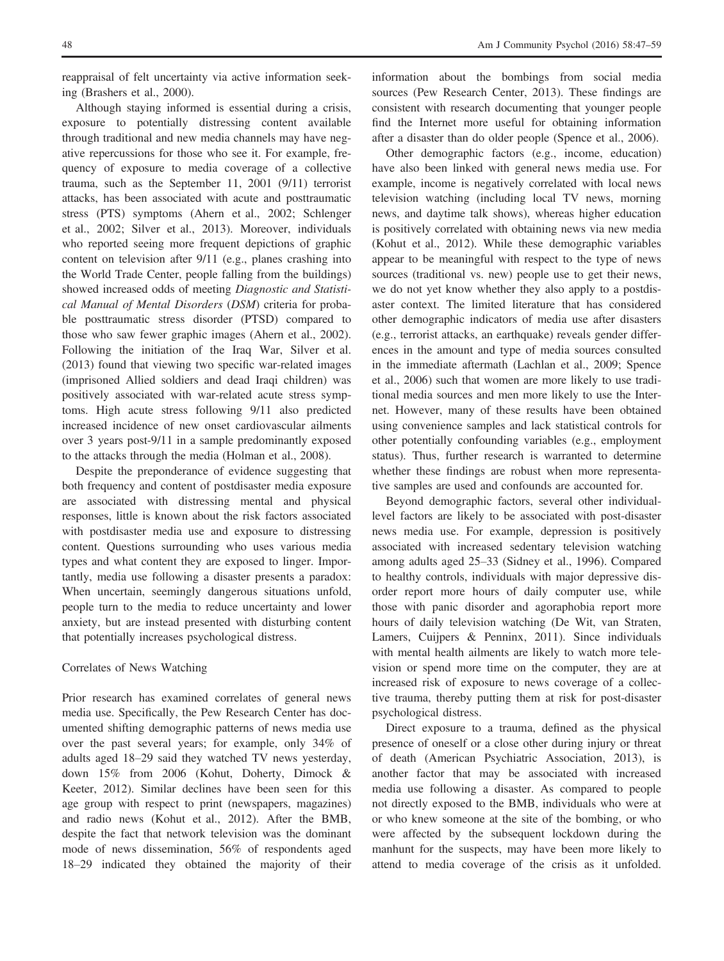reappraisal of felt uncertainty via active information seeking (Brashers et al., 2000).

Although staying informed is essential during a crisis, exposure to potentially distressing content available through traditional and new media channels may have negative repercussions for those who see it. For example, frequency of exposure to media coverage of a collective trauma, such as the September 11, 2001 (9/11) terrorist attacks, has been associated with acute and posttraumatic stress (PTS) symptoms (Ahern et al., 2002; Schlenger et al., 2002; Silver et al., 2013). Moreover, individuals who reported seeing more frequent depictions of graphic content on television after 9/11 (e.g., planes crashing into the World Trade Center, people falling from the buildings) showed increased odds of meeting Diagnostic and Statistical Manual of Mental Disorders (DSM) criteria for probable posttraumatic stress disorder (PTSD) compared to those who saw fewer graphic images (Ahern et al., 2002). Following the initiation of the Iraq War, Silver et al. (2013) found that viewing two specific war-related images (imprisoned Allied soldiers and dead Iraqi children) was positively associated with war-related acute stress symptoms. High acute stress following 9/11 also predicted increased incidence of new onset cardiovascular ailments over 3 years post-9/11 in a sample predominantly exposed to the attacks through the media (Holman et al., 2008).

Despite the preponderance of evidence suggesting that both frequency and content of postdisaster media exposure are associated with distressing mental and physical responses, little is known about the risk factors associated with postdisaster media use and exposure to distressing content. Questions surrounding who uses various media types and what content they are exposed to linger. Importantly, media use following a disaster presents a paradox: When uncertain, seemingly dangerous situations unfold, people turn to the media to reduce uncertainty and lower anxiety, but are instead presented with disturbing content that potentially increases psychological distress.

# Correlates of News Watching

Prior research has examined correlates of general news media use. Specifically, the Pew Research Center has documented shifting demographic patterns of news media use over the past several years; for example, only 34% of adults aged 18–29 said they watched TV news yesterday, down 15% from 2006 (Kohut, Doherty, Dimock & Keeter, 2012). Similar declines have been seen for this age group with respect to print (newspapers, magazines) and radio news (Kohut et al., 2012). After the BMB, despite the fact that network television was the dominant mode of news dissemination, 56% of respondents aged 18–29 indicated they obtained the majority of their information about the bombings from social media sources (Pew Research Center, 2013). These findings are consistent with research documenting that younger people find the Internet more useful for obtaining information after a disaster than do older people (Spence et al., 2006).

Other demographic factors (e.g., income, education) have also been linked with general news media use. For example, income is negatively correlated with local news television watching (including local TV news, morning news, and daytime talk shows), whereas higher education is positively correlated with obtaining news via new media (Kohut et al., 2012). While these demographic variables appear to be meaningful with respect to the type of news sources (traditional vs. new) people use to get their news, we do not yet know whether they also apply to a postdisaster context. The limited literature that has considered other demographic indicators of media use after disasters (e.g., terrorist attacks, an earthquake) reveals gender differences in the amount and type of media sources consulted in the immediate aftermath (Lachlan et al., 2009; Spence et al., 2006) such that women are more likely to use traditional media sources and men more likely to use the Internet. However, many of these results have been obtained using convenience samples and lack statistical controls for other potentially confounding variables (e.g., employment status). Thus, further research is warranted to determine whether these findings are robust when more representative samples are used and confounds are accounted for.

Beyond demographic factors, several other individuallevel factors are likely to be associated with post-disaster news media use. For example, depression is positively associated with increased sedentary television watching among adults aged 25–33 (Sidney et al., 1996). Compared to healthy controls, individuals with major depressive disorder report more hours of daily computer use, while those with panic disorder and agoraphobia report more hours of daily television watching (De Wit, van Straten, Lamers, Cuijpers & Penninx, 2011). Since individuals with mental health ailments are likely to watch more television or spend more time on the computer, they are at increased risk of exposure to news coverage of a collective trauma, thereby putting them at risk for post-disaster psychological distress.

Direct exposure to a trauma, defined as the physical presence of oneself or a close other during injury or threat of death (American Psychiatric Association, 2013), is another factor that may be associated with increased media use following a disaster. As compared to people not directly exposed to the BMB, individuals who were at or who knew someone at the site of the bombing, or who were affected by the subsequent lockdown during the manhunt for the suspects, may have been more likely to attend to media coverage of the crisis as it unfolded.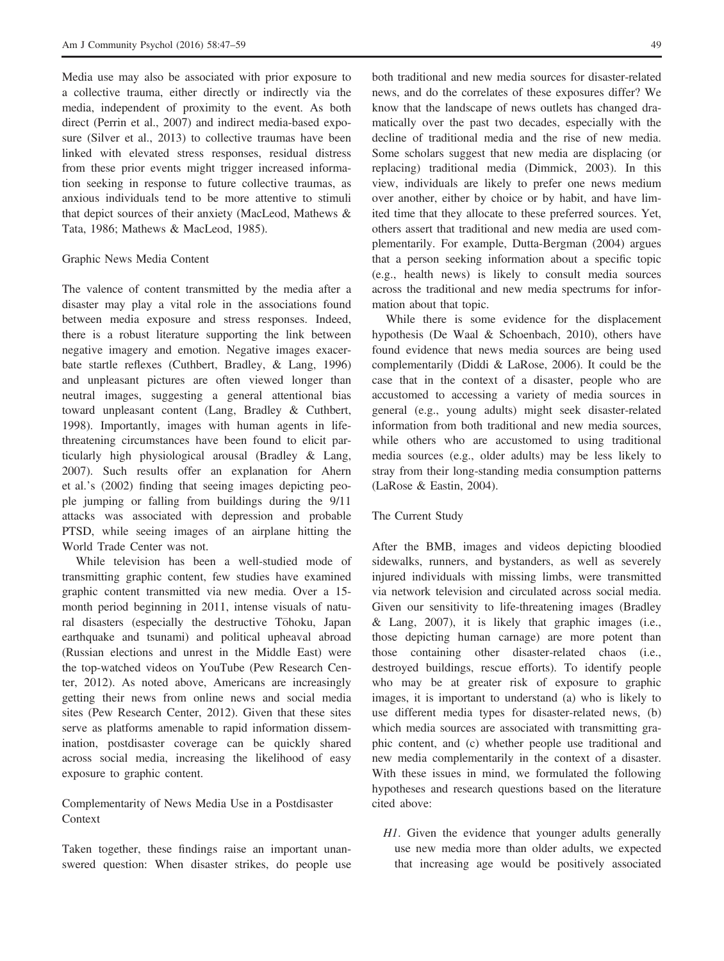Media use may also be associated with prior exposure to a collective trauma, either directly or indirectly via the media, independent of proximity to the event. As both direct (Perrin et al., 2007) and indirect media-based exposure (Silver et al., 2013) to collective traumas have been linked with elevated stress responses, residual distress from these prior events might trigger increased information seeking in response to future collective traumas, as anxious individuals tend to be more attentive to stimuli that depict sources of their anxiety (MacLeod, Mathews & Tata, 1986; Mathews & MacLeod, 1985).

## Graphic News Media Content

The valence of content transmitted by the media after a disaster may play a vital role in the associations found between media exposure and stress responses. Indeed, there is a robust literature supporting the link between negative imagery and emotion. Negative images exacerbate startle reflexes (Cuthbert, Bradley, & Lang, 1996) and unpleasant pictures are often viewed longer than neutral images, suggesting a general attentional bias toward unpleasant content (Lang, Bradley & Cuthbert, 1998). Importantly, images with human agents in lifethreatening circumstances have been found to elicit particularly high physiological arousal (Bradley & Lang, 2007). Such results offer an explanation for Ahern et al.'s (2002) finding that seeing images depicting people jumping or falling from buildings during the 9/11 attacks was associated with depression and probable PTSD, while seeing images of an airplane hitting the World Trade Center was not.

While television has been a well-studied mode of transmitting graphic content, few studies have examined graphic content transmitted via new media. Over a 15 month period beginning in 2011, intense visuals of natural disasters (especially the destructive Tohoku, Japan earthquake and tsunami) and political upheaval abroad (Russian elections and unrest in the Middle East) were the top-watched videos on YouTube (Pew Research Center, 2012). As noted above, Americans are increasingly getting their news from online news and social media sites (Pew Research Center, 2012). Given that these sites serve as platforms amenable to rapid information dissemination, postdisaster coverage can be quickly shared across social media, increasing the likelihood of easy exposure to graphic content.

Complementarity of News Media Use in a Postdisaster Context

Taken together, these findings raise an important unanswered question: When disaster strikes, do people use both traditional and new media sources for disaster-related news, and do the correlates of these exposures differ? We know that the landscape of news outlets has changed dramatically over the past two decades, especially with the decline of traditional media and the rise of new media. Some scholars suggest that new media are displacing (or replacing) traditional media (Dimmick, 2003). In this view, individuals are likely to prefer one news medium over another, either by choice or by habit, and have limited time that they allocate to these preferred sources. Yet, others assert that traditional and new media are used complementarily. For example, Dutta-Bergman (2004) argues that a person seeking information about a specific topic (e.g., health news) is likely to consult media sources across the traditional and new media spectrums for information about that topic.

While there is some evidence for the displacement hypothesis (De Waal & Schoenbach, 2010), others have found evidence that news media sources are being used complementarily (Diddi & LaRose, 2006). It could be the case that in the context of a disaster, people who are accustomed to accessing a variety of media sources in general (e.g., young adults) might seek disaster-related information from both traditional and new media sources, while others who are accustomed to using traditional media sources (e.g., older adults) may be less likely to stray from their long-standing media consumption patterns (LaRose & Eastin, 2004).

# The Current Study

After the BMB, images and videos depicting bloodied sidewalks, runners, and bystanders, as well as severely injured individuals with missing limbs, were transmitted via network television and circulated across social media. Given our sensitivity to life-threatening images (Bradley & Lang, 2007), it is likely that graphic images (i.e., those depicting human carnage) are more potent than those containing other disaster-related chaos (i.e., destroyed buildings, rescue efforts). To identify people who may be at greater risk of exposure to graphic images, it is important to understand (a) who is likely to use different media types for disaster-related news, (b) which media sources are associated with transmitting graphic content, and (c) whether people use traditional and new media complementarily in the context of a disaster. With these issues in mind, we formulated the following hypotheses and research questions based on the literature cited above:

H1. Given the evidence that younger adults generally use new media more than older adults, we expected that increasing age would be positively associated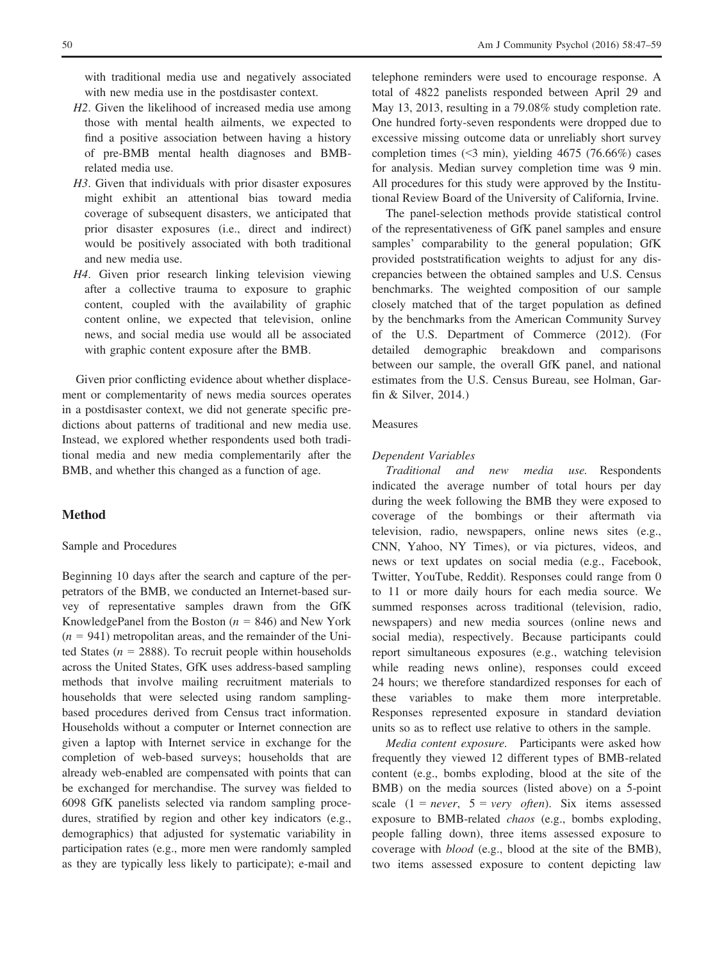with traditional media use and negatively associated with new media use in the postdisaster context.

- H<sub>2</sub>. Given the likelihood of increased media use among those with mental health ailments, we expected to find a positive association between having a history of pre-BMB mental health diagnoses and BMBrelated media use.
- H3. Given that individuals with prior disaster exposures might exhibit an attentional bias toward media coverage of subsequent disasters, we anticipated that prior disaster exposures (i.e., direct and indirect) would be positively associated with both traditional and new media use.
- H4. Given prior research linking television viewing after a collective trauma to exposure to graphic content, coupled with the availability of graphic content online, we expected that television, online news, and social media use would all be associated with graphic content exposure after the BMB.

Given prior conflicting evidence about whether displacement or complementarity of news media sources operates in a postdisaster context, we did not generate specific predictions about patterns of traditional and new media use. Instead, we explored whether respondents used both traditional media and new media complementarily after the BMB, and whether this changed as a function of age.

# Method

#### Sample and Procedures

Beginning 10 days after the search and capture of the perpetrators of the BMB, we conducted an Internet-based survey of representative samples drawn from the GfK KnowledgePanel from the Boston ( $n = 846$ ) and New York  $(n = 941)$  metropolitan areas, and the remainder of the United States ( $n = 2888$ ). To recruit people within households across the United States, GfK uses address-based sampling methods that involve mailing recruitment materials to households that were selected using random samplingbased procedures derived from Census tract information. Households without a computer or Internet connection are given a laptop with Internet service in exchange for the completion of web-based surveys; households that are already web-enabled are compensated with points that can be exchanged for merchandise. The survey was fielded to 6098 GfK panelists selected via random sampling procedures, stratified by region and other key indicators (e.g., demographics) that adjusted for systematic variability in participation rates (e.g., more men were randomly sampled as they are typically less likely to participate); e-mail and telephone reminders were used to encourage response. A total of 4822 panelists responded between April 29 and May 13, 2013, resulting in a 79.08% study completion rate. One hundred forty-seven respondents were dropped due to excessive missing outcome data or unreliably short survey completion times  $(3 \text{ min})$ , yielding 4675 (76.66%) cases for analysis. Median survey completion time was 9 min. All procedures for this study were approved by the Institutional Review Board of the University of California, Irvine.

The panel-selection methods provide statistical control of the representativeness of GfK panel samples and ensure samples' comparability to the general population; GfK provided poststratification weights to adjust for any discrepancies between the obtained samples and U.S. Census benchmarks. The weighted composition of our sample closely matched that of the target population as defined by the benchmarks from the American Community Survey of the U.S. Department of Commerce (2012). (For detailed demographic breakdown and comparisons between our sample, the overall GfK panel, and national estimates from the U.S. Census Bureau, see Holman, Garfin & Silver, 2014.)

# Measures

### Dependent Variables

Traditional and new media use. Respondents indicated the average number of total hours per day during the week following the BMB they were exposed to coverage of the bombings or their aftermath via television, radio, newspapers, online news sites (e.g., CNN, Yahoo, NY Times), or via pictures, videos, and news or text updates on social media (e.g., Facebook, Twitter, YouTube, Reddit). Responses could range from 0 to 11 or more daily hours for each media source. We summed responses across traditional (television, radio, newspapers) and new media sources (online news and social media), respectively. Because participants could report simultaneous exposures (e.g., watching television while reading news online), responses could exceed 24 hours; we therefore standardized responses for each of these variables to make them more interpretable. Responses represented exposure in standard deviation units so as to reflect use relative to others in the sample.

Media content exposure. Participants were asked how frequently they viewed 12 different types of BMB-related content (e.g., bombs exploding, blood at the site of the BMB) on the media sources (listed above) on a 5-point scale  $(1 = never, 5 = very often)$ . Six items assessed exposure to BMB-related chaos (e.g., bombs exploding, people falling down), three items assessed exposure to coverage with blood (e.g., blood at the site of the BMB), two items assessed exposure to content depicting law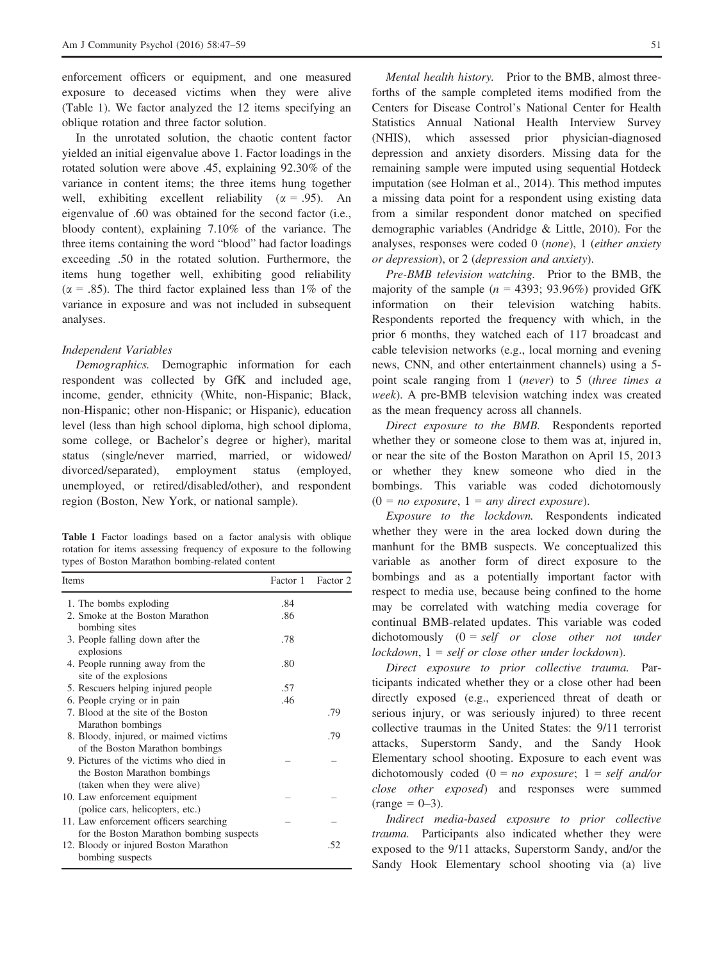enforcement officers or equipment, and one measured exposure to deceased victims when they were alive (Table 1). We factor analyzed the 12 items specifying an oblique rotation and three factor solution.

In the unrotated solution, the chaotic content factor yielded an initial eigenvalue above 1. Factor loadings in the rotated solution were above .45, explaining 92.30% of the variance in content items; the three items hung together well, exhibiting excellent reliability ( $\alpha = .95$ ). An eigenvalue of .60 was obtained for the second factor (i.e., bloody content), explaining 7.10% of the variance. The three items containing the word "blood" had factor loadings exceeding .50 in the rotated solution. Furthermore, the items hung together well, exhibiting good reliability ( $\alpha$  = .85). The third factor explained less than 1% of the variance in exposure and was not included in subsequent analyses.

## Independent Variables

Demographics. Demographic information for each respondent was collected by GfK and included age, income, gender, ethnicity (White, non-Hispanic; Black, non-Hispanic; other non-Hispanic; or Hispanic), education level (less than high school diploma, high school diploma, some college, or Bachelor's degree or higher), marital status (single/never married, married, or widowed/ divorced/separated), employment status (employed, unemployed, or retired/disabled/other), and respondent region (Boston, New York, or national sample).

Table 1 Factor loadings based on a factor analysis with oblique rotation for items assessing frequency of exposure to the following types of Boston Marathon bombing-related content

| Items                                                     | Factor 1 Factor 2 |     |
|-----------------------------------------------------------|-------------------|-----|
| 1. The bombs exploding                                    | .84               |     |
| 2. Smoke at the Boston Marathon                           | .86               |     |
| bombing sites                                             |                   |     |
| 3. People falling down after the<br>explosions            | .78               |     |
| 4. People running away from the                           | .80               |     |
| site of the explosions                                    |                   |     |
| 5. Rescuers helping injured people                        | .57               |     |
| 6. People crying or in pain                               | .46               |     |
| 7. Blood at the site of the Boston                        |                   | .79 |
| Marathon bombings                                         |                   |     |
| 8. Bloody, injured, or maimed victims                     |                   | .79 |
| of the Boston Marathon bombings                           |                   |     |
| 9. Pictures of the victims who died in                    |                   |     |
| the Boston Marathon bombings                              |                   |     |
| (taken when they were alive)                              |                   |     |
| 10. Law enforcement equipment                             |                   |     |
| (police cars, helicopters, etc.)                          |                   |     |
| 11. Law enforcement officers searching                    |                   |     |
| for the Boston Marathon bombing suspects                  |                   |     |
| 12. Bloody or injured Boston Marathon<br>bombing suspects |                   | .52 |

Mental health history. Prior to the BMB, almost threeforths of the sample completed items modified from the Centers for Disease Control's National Center for Health Statistics Annual National Health Interview Survey (NHIS), which assessed prior physician-diagnosed depression and anxiety disorders. Missing data for the remaining sample were imputed using sequential Hotdeck imputation (see Holman et al., 2014). This method imputes a missing data point for a respondent using existing data from a similar respondent donor matched on specified demographic variables (Andridge & Little, 2010). For the analyses, responses were coded 0 (none), 1 (either anxiety or depression), or 2 (depression and anxiety).

Pre-BMB television watching. Prior to the BMB, the majority of the sample ( $n = 4393$ ; 93.96%) provided GfK information on their television watching habits. Respondents reported the frequency with which, in the prior 6 months, they watched each of 117 broadcast and cable television networks (e.g., local morning and evening news, CNN, and other entertainment channels) using a 5 point scale ranging from 1 (never) to 5 (three times a week). A pre-BMB television watching index was created as the mean frequency across all channels.

Direct exposure to the BMB. Respondents reported whether they or someone close to them was at, injured in, or near the site of the Boston Marathon on April 15, 2013 or whether they knew someone who died in the bombings. This variable was coded dichotomously  $(0 = no \text{ exposure}, 1 = any \text{ direct exposure}).$ 

Exposure to the lockdown. Respondents indicated whether they were in the area locked down during the manhunt for the BMB suspects. We conceptualized this variable as another form of direct exposure to the bombings and as a potentially important factor with respect to media use, because being confined to the home may be correlated with watching media coverage for continual BMB-related updates. This variable was coded dichotomously  $(0 = self \space or \space close \space other \space not \space under$  $lockdown, 1 = self or close other under lockdown).$ 

Direct exposure to prior collective trauma. Participants indicated whether they or a close other had been directly exposed (e.g., experienced threat of death or serious injury, or was seriously injured) to three recent collective traumas in the United States: the 9/11 terrorist attacks, Superstorm Sandy, and the Sandy Hook Elementary school shooting. Exposure to each event was dichotomously coded  $(0 = no \text{ exposure}; 1 = self \text{ and/or}$ close other exposed) and responses were summed  $(range = 0-3)$ .

Indirect media-based exposure to prior collective trauma. Participants also indicated whether they were exposed to the 9/11 attacks, Superstorm Sandy, and/or the Sandy Hook Elementary school shooting via (a) live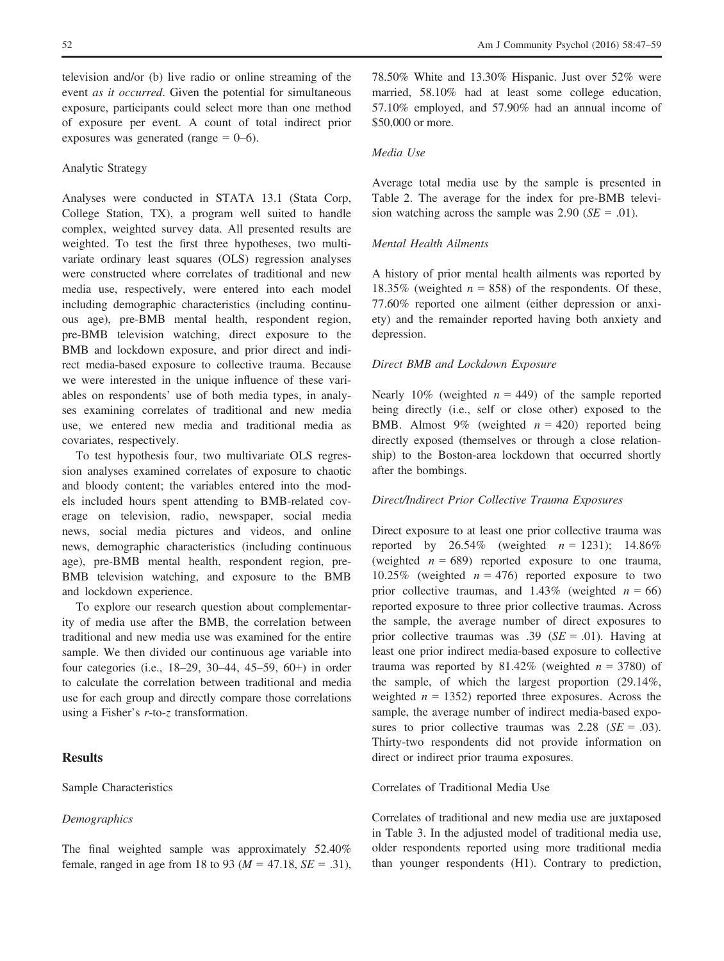television and/or (b) live radio or online streaming of the event as it occurred. Given the potential for simultaneous exposure, participants could select more than one method of exposure per event. A count of total indirect prior exposures was generated (range  $= 0-6$ ).

#### Analytic Strategy

Analyses were conducted in STATA 13.1 (Stata Corp, College Station, TX), a program well suited to handle complex, weighted survey data. All presented results are weighted. To test the first three hypotheses, two multivariate ordinary least squares (OLS) regression analyses were constructed where correlates of traditional and new media use, respectively, were entered into each model including demographic characteristics (including continuous age), pre-BMB mental health, respondent region, pre-BMB television watching, direct exposure to the BMB and lockdown exposure, and prior direct and indirect media-based exposure to collective trauma. Because we were interested in the unique influence of these variables on respondents' use of both media types, in analyses examining correlates of traditional and new media use, we entered new media and traditional media as covariates, respectively.

To test hypothesis four, two multivariate OLS regression analyses examined correlates of exposure to chaotic and bloody content; the variables entered into the models included hours spent attending to BMB-related coverage on television, radio, newspaper, social media news, social media pictures and videos, and online news, demographic characteristics (including continuous age), pre-BMB mental health, respondent region, pre-BMB television watching, and exposure to the BMB and lockdown experience.

To explore our research question about complementarity of media use after the BMB, the correlation between traditional and new media use was examined for the entire sample. We then divided our continuous age variable into four categories (i.e., 18–29, 30–44, 45–59, 60+) in order to calculate the correlation between traditional and media use for each group and directly compare those correlations using a Fisher's r-to-z transformation.

## **Results**

# Sample Characteristics

### Demographics

The final weighted sample was approximately 52.40% female, ranged in age from 18 to 93 ( $M = 47.18$ ,  $SE = .31$ ),

78.50% White and 13.30% Hispanic. Just over 52% were married, 58.10% had at least some college education, 57.10% employed, and 57.90% had an annual income of \$50,000 or more.

## Media Use

Average total media use by the sample is presented in Table 2. The average for the index for pre-BMB television watching across the sample was  $2.90$  (*SE* = .01).

# Mental Health Ailments

A history of prior mental health ailments was reported by 18.35% (weighted  $n = 858$ ) of the respondents. Of these, 77.60% reported one ailment (either depression or anxiety) and the remainder reported having both anxiety and depression.

# Direct BMB and Lockdown Exposure

Nearly 10% (weighted  $n = 449$ ) of the sample reported being directly (i.e., self or close other) exposed to the BMB. Almost 9% (weighted  $n = 420$ ) reported being directly exposed (themselves or through a close relationship) to the Boston-area lockdown that occurred shortly after the bombings.

## Direct/Indirect Prior Collective Trauma Exposures

Direct exposure to at least one prior collective trauma was reported by 26.54% (weighted  $n = 1231$ ); 14.86% (weighted  $n = 689$ ) reported exposure to one trauma, 10.25% (weighted  $n = 476$ ) reported exposure to two prior collective traumas, and 1.43% (weighted  $n = 66$ ) reported exposure to three prior collective traumas. Across the sample, the average number of direct exposures to prior collective traumas was .39 ( $SE = .01$ ). Having at least one prior indirect media-based exposure to collective trauma was reported by 81.42% (weighted  $n = 3780$ ) of the sample, of which the largest proportion (29.14%, weighted  $n = 1352$ ) reported three exposures. Across the sample, the average number of indirect media-based exposures to prior collective traumas was  $2.28$  ( $SE = .03$ ). Thirty-two respondents did not provide information on direct or indirect prior trauma exposures.

### Correlates of Traditional Media Use

Correlates of traditional and new media use are juxtaposed in Table 3. In the adjusted model of traditional media use, older respondents reported using more traditional media than younger respondents (H1). Contrary to prediction,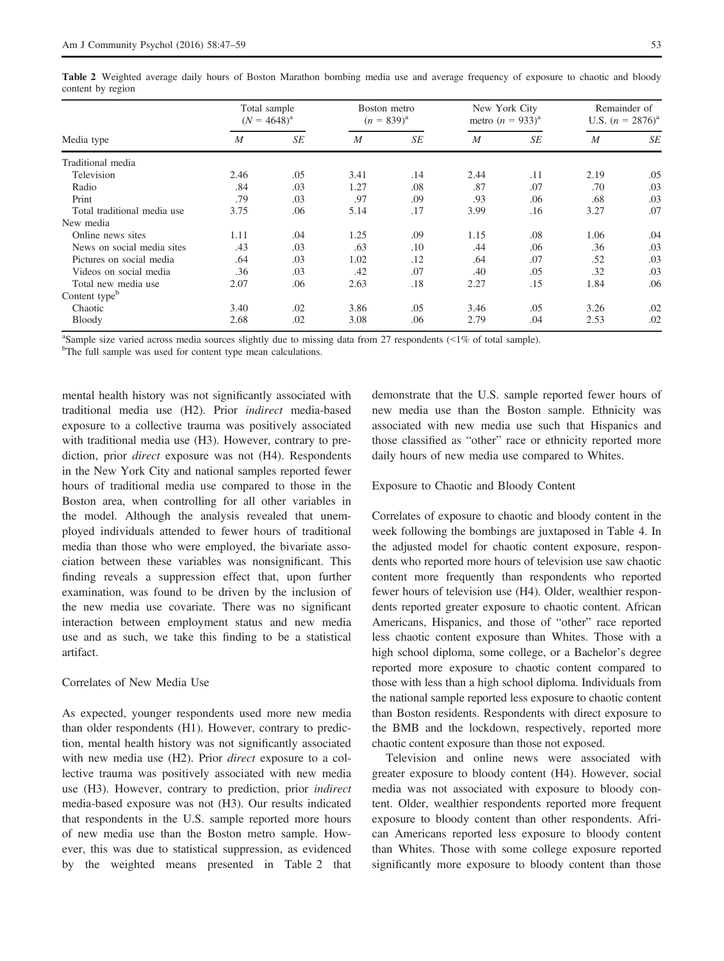| Media type                  | Total sample<br>$(N = 4648)^{a}$ |     | Boston metro<br>$(n = 839)^{a}$ |     | New York City<br>metro $(n = 933)^{a}$ |     | Remainder of<br>U.S. $(n = 2876)^{a}$ |     |
|-----------------------------|----------------------------------|-----|---------------------------------|-----|----------------------------------------|-----|---------------------------------------|-----|
|                             | $\boldsymbol{M}$                 | SE  | $\boldsymbol{M}$                | SE  | $\boldsymbol{M}$                       | SE  | M                                     | SE  |
| Traditional media           |                                  |     |                                 |     |                                        |     |                                       |     |
| Television                  | 2.46                             | .05 | 3.41                            | .14 | 2.44                                   | .11 | 2.19                                  | .05 |
| Radio                       | .84                              | .03 | 1.27                            | .08 | .87                                    | .07 | .70                                   | .03 |
| Print                       | .79                              | .03 | .97                             | .09 | .93                                    | .06 | .68                                   | .03 |
| Total traditional media use | 3.75                             | .06 | 5.14                            | .17 | 3.99                                   | .16 | 3.27                                  | .07 |
| New media                   |                                  |     |                                 |     |                                        |     |                                       |     |
| Online news sites           | 1.11                             | .04 | 1.25                            | .09 | 1.15                                   | .08 | 1.06                                  | .04 |
| News on social media sites  | .43                              | .03 | .63                             | .10 | .44                                    | .06 | .36                                   | .03 |
| Pictures on social media    | .64                              | .03 | 1.02                            | .12 | .64                                    | .07 | .52                                   | .03 |
| Videos on social media      | .36                              | .03 | .42                             | .07 | .40                                    | .05 | .32                                   | .03 |
| Total new media use         | 2.07                             | .06 | 2.63                            | .18 | 2.27                                   | .15 | 1.84                                  | .06 |
| Content type <sup>b</sup>   |                                  |     |                                 |     |                                        |     |                                       |     |
| Chaotic                     | 3.40                             | .02 | 3.86                            | .05 | 3.46                                   | .05 | 3.26                                  | .02 |
| Bloody                      | 2.68                             | .02 | 3.08                            | .06 | 2.79                                   | .04 | 2.53                                  | .02 |

Table 2 Weighted average daily hours of Boston Marathon bombing media use and average frequency of exposure to chaotic and bloody content by region

<sup>a</sup>Sample size varied across media sources slightly due to missing data from 27 respondents (<1% of total sample). **b**The full sample was used for content time mean calculations

<sup>b</sup>The full sample was used for content type mean calculations.

mental health history was not significantly associated with traditional media use (H2). Prior indirect media-based exposure to a collective trauma was positively associated with traditional media use (H3). However, contrary to prediction, prior direct exposure was not (H4). Respondents in the New York City and national samples reported fewer hours of traditional media use compared to those in the Boston area, when controlling for all other variables in the model. Although the analysis revealed that unemployed individuals attended to fewer hours of traditional media than those who were employed, the bivariate association between these variables was nonsignificant. This finding reveals a suppression effect that, upon further examination, was found to be driven by the inclusion of the new media use covariate. There was no significant interaction between employment status and new media use and as such, we take this finding to be a statistical artifact.

# Correlates of New Media Use

As expected, younger respondents used more new media than older respondents (H1). However, contrary to prediction, mental health history was not significantly associated with new media use (H2). Prior *direct* exposure to a collective trauma was positively associated with new media use (H3). However, contrary to prediction, prior indirect media-based exposure was not (H3). Our results indicated that respondents in the U.S. sample reported more hours of new media use than the Boston metro sample. However, this was due to statistical suppression, as evidenced by the weighted means presented in Table 2 that demonstrate that the U.S. sample reported fewer hours of new media use than the Boston sample. Ethnicity was associated with new media use such that Hispanics and those classified as "other" race or ethnicity reported more daily hours of new media use compared to Whites.

## Exposure to Chaotic and Bloody Content

Correlates of exposure to chaotic and bloody content in the week following the bombings are juxtaposed in Table 4. In the adjusted model for chaotic content exposure, respondents who reported more hours of television use saw chaotic content more frequently than respondents who reported fewer hours of television use (H4). Older, wealthier respondents reported greater exposure to chaotic content. African Americans, Hispanics, and those of "other" race reported less chaotic content exposure than Whites. Those with a high school diploma, some college, or a Bachelor's degree reported more exposure to chaotic content compared to those with less than a high school diploma. Individuals from the national sample reported less exposure to chaotic content than Boston residents. Respondents with direct exposure to the BMB and the lockdown, respectively, reported more chaotic content exposure than those not exposed.

Television and online news were associated with greater exposure to bloody content (H4). However, social media was not associated with exposure to bloody content. Older, wealthier respondents reported more frequent exposure to bloody content than other respondents. African Americans reported less exposure to bloody content than Whites. Those with some college exposure reported significantly more exposure to bloody content than those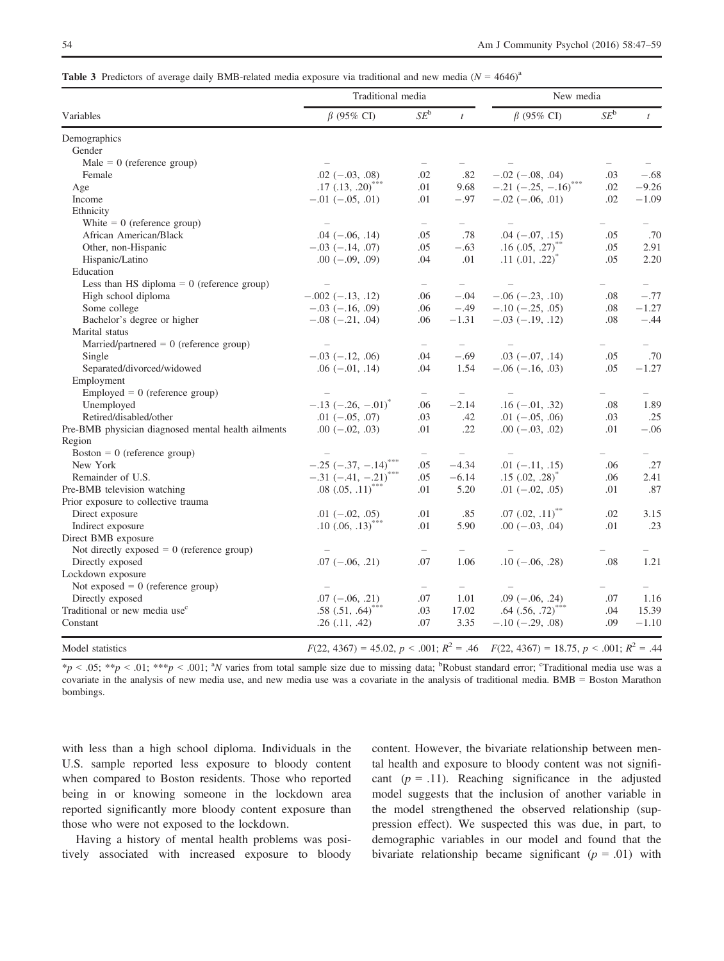**Table 3** Predictors of average daily BMB-related media exposure via traditional and new media  $(N = 4646)^{a}$ 

| Variables                                          | Traditional media                      | New media                |                          |                                                                                       |        |                          |
|----------------------------------------------------|----------------------------------------|--------------------------|--------------------------|---------------------------------------------------------------------------------------|--------|--------------------------|
|                                                    | $\beta$ (95% CI)                       | $SE^b$                   | $\mathfrak{t}$           | $\beta$ (95% CI)                                                                      | $SE^b$ | t                        |
| Demographics                                       |                                        |                          |                          |                                                                                       |        |                          |
| Gender                                             |                                        |                          |                          |                                                                                       |        |                          |
| Male = $0$ (reference group)                       |                                        |                          |                          |                                                                                       |        |                          |
| Female                                             | $.02 (-.03, .08)$                      | .02                      | .82                      | $-.02 (-.08, .04)$                                                                    | .03    | $-.68$                   |
| Age                                                | $.17$ $(.13, .20)^{***}$               | .01                      | 9.68                     | $-.21$ ( $-.25, -.16$ ) <sup>***</sup>                                                | .02    | $-9.26$                  |
| Income                                             | $-.01 (-0.05, 0.01)$                   | .01                      | $-.97$                   | $-.02 (-.06, .01)$                                                                    | .02    | $-1.09$                  |
| Ethnicity                                          |                                        |                          |                          |                                                                                       |        |                          |
| White $= 0$ (reference group)                      |                                        | $\overline{\phantom{0}}$ |                          |                                                                                       |        |                          |
| African American/Black                             | $.04 (-.06, .14)$                      | .05                      | .78                      | $.04 (-.07, .15)$                                                                     | .05    | .70                      |
| Other, non-Hispanic                                | $-.03 (-.14, .07)$                     | .05                      | $-.63$                   | $.16(.05,.27)$ **                                                                     | .05    | 2.91                     |
| Hispanic/Latino                                    | $.00 (-.09, .09)$                      | .04                      | .01                      | $.11$ $(.01, .22)^*$                                                                  | .05    | 2.20                     |
| Education                                          |                                        |                          |                          |                                                                                       |        |                          |
| Less than HS diploma $= 0$ (reference group)       |                                        | $\overline{\phantom{0}}$ |                          |                                                                                       |        |                          |
| High school diploma                                | $-.002 (-.13, .12)$                    | .06                      | $-.04$                   | $-.06 (-.23, .10)$                                                                    | .08    | $-.77$                   |
| Some college                                       | $-.03 (-.16, .09)$                     | .06                      | $-.49$                   | $-.10 (-.25, .05)$                                                                    | .08    | $-1.27$                  |
| Bachelor's degree or higher                        | $-.08 (-.21, .04)$                     | .06                      | $-1.31$                  | $-.03(-.19,.12)$                                                                      | .08    | $-.44$                   |
| Marital status                                     |                                        |                          |                          |                                                                                       |        |                          |
| Married/partnered = $0$ (reference group)          |                                        | $\qquad \qquad -$        | $\overline{\phantom{0}}$ |                                                                                       |        |                          |
| Single                                             | $-.03 (-.12, .06)$                     | .04                      | $-.69$                   | $.03(-.07, .14)$                                                                      | .05    | .70                      |
| Separated/divorced/widowed                         | $.06$ ( $-.01, .14$ )                  | .04                      | 1.54                     | $-.06 (-.16, .03)$                                                                    | .05    | $-1.27$                  |
| Employment                                         |                                        |                          |                          |                                                                                       |        |                          |
| Employed = $0$ (reference group)                   |                                        | $\overline{\phantom{m}}$ |                          |                                                                                       |        | $\overline{\phantom{0}}$ |
| Unemployed                                         | $-.13$ ( $-.26, -.01$ ) <sup>*</sup>   | .06                      | $-2.14$                  | $.16(-.01, .32)$                                                                      | .08    | 1.89                     |
| Retired/disabled/other                             | $.01 (-.05, .07)$                      | .03                      | .42                      | $.01 (-0.05, 0.06)$                                                                   | .03    | .25                      |
| Pre-BMB physician diagnosed mental health ailments | $.00 (-.02, .03)$                      | .01                      | .22                      | $.00 (-0.03, .02)$                                                                    | .01    | $-.06$                   |
| Region                                             |                                        |                          |                          |                                                                                       |        |                          |
| Boston = $0$ (reference group)                     |                                        |                          |                          |                                                                                       |        |                          |
| New York                                           | $-.25$ ( $-.37, -.14$ ) <sup>***</sup> | .05                      | $-4.34$                  | $.01 (-.11, .15)$                                                                     | .06    | .27                      |
| Remainder of U.S.                                  | $-.31$ (-.41, -.21) <sup>***</sup>     | .05                      | $-6.14$                  | $.15$ $(.02, .28)^*$                                                                  | .06    | 2.41                     |
| Pre-BMB television watching                        | .08 $(.05, .11)^{***}$                 | .01                      | 5.20                     | $.01 (-.02, .05)$                                                                     | .01    | .87                      |
| Prior exposure to collective trauma                |                                        |                          |                          |                                                                                       |        |                          |
| Direct exposure                                    | $.01 (-.02, .05)$                      | .01                      | .85                      | $.07$ $(.02, .11)^{**}$                                                               | .02    | 3.15                     |
| Indirect exposure                                  | $.10$ $(.06, .13)^{***}$               | .01                      | 5.90                     | $.00 (-0.03, .04)$                                                                    | .01    | .23                      |
| Direct BMB exposure                                |                                        |                          |                          |                                                                                       |        |                          |
| Not directly exposed $= 0$ (reference group)       |                                        | $\overline{\phantom{m}}$ |                          |                                                                                       |        |                          |
| Directly exposed                                   | $.07 (-.06, .21)$                      | .07                      | 1.06                     | $.10 (-.06, .28)$                                                                     | .08    | 1.21                     |
| Lockdown exposure                                  |                                        |                          |                          |                                                                                       |        |                          |
| Not exposed $= 0$ (reference group)                |                                        |                          |                          |                                                                                       |        |                          |
| Directly exposed                                   | $.07$ ( $-.06, .21$ )                  | .07                      | 1.01                     | $.09$ ( $-.06, .24$ )                                                                 | .07    | 1.16                     |
| Traditional or new media use <sup>c</sup>          | $.58(.51, .64)$ ***                    | .03                      | 17.02                    | $.64$ $(.56, .72)^{**}$                                                               | .04    | 15.39                    |
| Constant                                           | $.26$ $(.11, .42)$                     | .07                      | 3.35                     | $-.10 (-.29, .08)$                                                                    | .09    | $-1.10$                  |
| Model statistics                                   |                                        |                          |                          | $F(22, 4367) = 45.02, p < .001; R^2 = .46$ $F(22, 4367) = 18.75, p < .001; R^2 = .44$ |        |                          |

\*p < .05; \*\*p < .01; \*\*\*p < .001;  $N$  varies from total sample size due to missing data; <sup>b</sup>Robust standard error; <sup>c</sup>Traditional media use was a covariate in the analysis of new media use, and new media use was a covariate in the analysis of traditional media. BMB = Boston Marathon bombings.

with less than a high school diploma. Individuals in the U.S. sample reported less exposure to bloody content when compared to Boston residents. Those who reported being in or knowing someone in the lockdown area reported significantly more bloody content exposure than those who were not exposed to the lockdown.

Having a history of mental health problems was positively associated with increased exposure to bloody content. However, the bivariate relationship between mental health and exposure to bloody content was not significant  $(p = .11)$ . Reaching significance in the adjusted model suggests that the inclusion of another variable in the model strengthened the observed relationship (suppression effect). We suspected this was due, in part, to demographic variables in our model and found that the bivariate relationship became significant  $(p = .01)$  with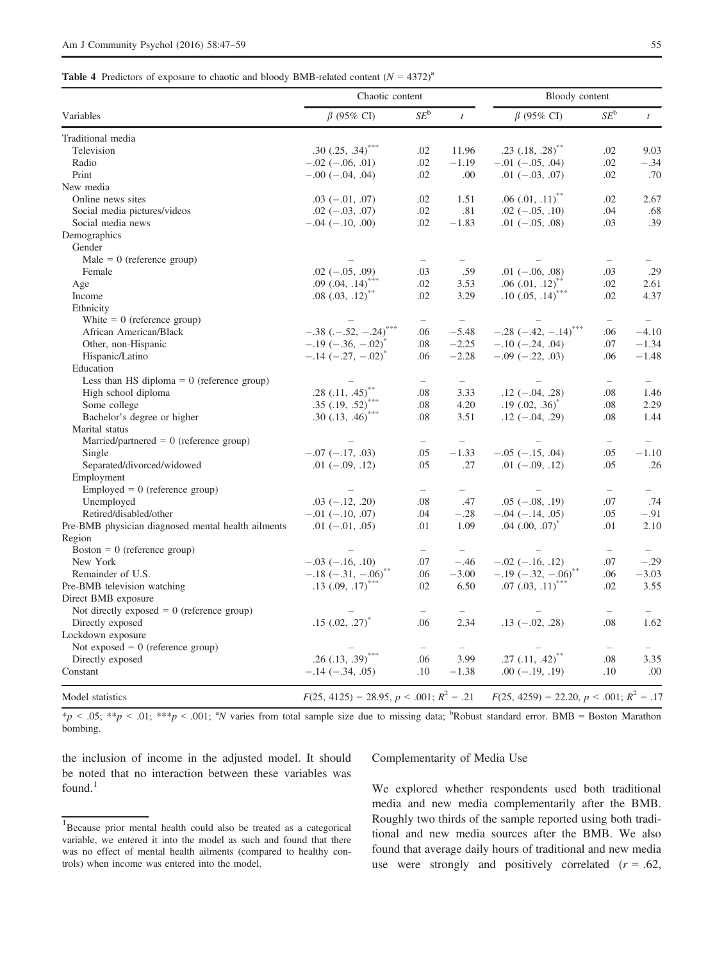**Table 4** Predictors of exposure to chaotic and bloody BMB-related content  $(N = 4372)^{a}$ 

|                                                    | Chaotic content                           | Bloody content                            |                          |                                        |                          |                          |
|----------------------------------------------------|-------------------------------------------|-------------------------------------------|--------------------------|----------------------------------------|--------------------------|--------------------------|
| Variables                                          | $\beta$ (95% CI)                          | $SE^b$                                    | $\mathfrak{t}$           | $\beta$ (95% CI)                       | $SE^b$                   | $\mathfrak{t}$           |
| Traditional media                                  |                                           |                                           |                          |                                        |                          |                          |
| Television                                         | $.30(.25,.34)$ ***                        | .02                                       | 11.96                    | .23 $(.18, .28)$ **                    | .02                      | 9.03                     |
| Radio                                              | $-.02 (-.06, .01)$                        | .02                                       | $-1.19$                  | $-.01 (-.05, .04)$                     | .02                      | $-.34$                   |
| Print                                              | $-.00 (-0.04, 0.04)$                      | .02                                       | .00                      | $.01 (-.03, .07)$                      | .02                      | .70                      |
| New media                                          |                                           |                                           |                          |                                        |                          |                          |
| Online news sites                                  | $.03(-.01, .07)$                          | .02                                       | 1.51                     | .06 $(.01, .11)^{**}$                  | .02                      | 2.67                     |
| Social media pictures/videos                       | $.02 (-.03, .07)$                         | .02                                       | $.81\,$                  | $.02 (-.05, .10)$                      | .04                      | .68                      |
| Social media news                                  | $-.04 (-.10, .00)$                        | .02                                       | $-1.83$                  | $.01 (-.05, .08)$                      | .03                      | .39                      |
| Demographics                                       |                                           |                                           |                          |                                        |                          |                          |
| Gender                                             |                                           |                                           |                          |                                        |                          |                          |
| Male = $0$ (reference group)                       |                                           | $\equiv$                                  |                          |                                        | -                        |                          |
| Female                                             | $.02 (-.05, .09)$                         | .03                                       | .59                      | $.01 (-.06, .08)$                      | .03                      | .29                      |
| Age                                                | $.09$ $(.04, .14)^{**}$                   | .02                                       | 3.53                     | $.06$ $(.01, .12)^{**}$                | .02                      | 2.61                     |
| Income                                             | .08 $(.03, .12)^{**}$                     | .02                                       | 3.29                     | $.10$ $(.05, .14)^{***}$               | .02                      | 4.37                     |
| Ethnicity                                          |                                           |                                           |                          |                                        |                          |                          |
| White $= 0$ (reference group)                      |                                           | $=$                                       | $\sim$                   |                                        | $=$                      | $\overline{\phantom{a}}$ |
| African American/Black                             | $-.38$ ( $-.52, -.24$ ) <sup>***</sup>    | .06                                       | $-5.48$                  | $-.28$ ( $-.42, -.14$ ) <sup>***</sup> | .06                      | $-4.10$                  |
| Other, non-Hispanic                                | $-.19$ ( $-.36, -.02$ ) <sup>*</sup>      | .08                                       | $-2.25$                  | $-.10(-.24, .04)$                      | .07                      | $-1.34$                  |
| Hispanic/Latino                                    | $-.14 (-.27, -.02)^{^{\circ}}$            | .06                                       | $-2.28$                  | $-.09 (-.22, .03)$                     | .06                      | $-1.48$                  |
| Education                                          |                                           |                                           |                          |                                        |                          |                          |
| Less than HS diploma $= 0$ (reference group)       |                                           |                                           |                          |                                        |                          |                          |
| High school diploma                                | .28 $(.11, .45)$ <sup>**</sup>            | .08                                       | 3.33                     | $.12 (-.04, .28)$                      | .08                      | 1.46                     |
| Some college                                       | .35 (.19, .52) <sup>***</sup>             | .08                                       | 4.20                     | $.19$ $(.02, .36)$ <sup>*</sup>        | .08                      | 2.29                     |
| Bachelor's degree or higher                        | .30 (.13, .46) <sup>***</sup>             | .08                                       | 3.51                     | $.12(-.04, .29)$                       | .08                      | 1.44                     |
| Marital status                                     |                                           |                                           |                          |                                        |                          |                          |
| Married/partnered = $0$ (reference group)          |                                           | $\overline{\phantom{m}}$                  | $\overline{\phantom{m}}$ |                                        | $\overline{\phantom{m}}$ |                          |
| Single                                             | $-.07(-.17, .03)$                         | .05                                       | $-1.33$                  | $-.05 (-.15, .04)$                     | .05                      | $-1.10$                  |
| Separated/divorced/widowed                         | $.01(-.09, .12)$                          | .05                                       | .27                      | $.01 (-.09, .12)$                      | .05                      | .26                      |
| Employment                                         |                                           |                                           |                          |                                        |                          |                          |
| $Emploved = 0$ (reference group)                   |                                           | $\qquad \qquad -$                         |                          |                                        | $\overline{\phantom{m}}$ |                          |
| Unemployed                                         | $.03(-.12, .20)$                          | .08                                       | .47                      | $.05(-.08, .19)$                       | .07                      | .74                      |
| Retired/disabled/other                             | $-.01 (-.10, .07)$                        | .04                                       | $-.28$                   | $-.04 (-.14, .05)$                     | .05                      | $-.91$                   |
| Pre-BMB physician diagnosed mental health ailments | $.01 (-.01, .05)$                         | .01                                       | 1.09                     | $.04$ $(.00, .07)^{^n}$                | .01                      | 2.10                     |
| Region                                             |                                           |                                           |                          |                                        |                          |                          |
| Boston = $0$ (reference group)                     |                                           | $\equiv$                                  |                          |                                        | $\equiv$                 | $\overline{\phantom{0}}$ |
| New York                                           | $-.03 (-.16, .10)$                        | .07                                       | $-.46$                   | $-.02 (-.16, .12)$                     | .07                      | $-.29$                   |
| Remainder of U.S.                                  | $-.18$ (-.31, -.06) <sup>**</sup>         | .06                                       | $-3.00$                  | $-.19$ ( $-.32, -.06$ ) <sup>**</sup>  | .06                      | $-3.03$                  |
| Pre-BMB television watching                        | $.13$ (.09, .17) <sup>**</sup>            | .02                                       | 6.50                     | $.07$ $(.03, .11)^{**}$                | .02                      | 3.55                     |
| Direct BMB exposure                                |                                           |                                           |                          |                                        |                          |                          |
| Not directly exposed $= 0$ (reference group)       |                                           |                                           |                          |                                        |                          |                          |
| Directly exposed                                   | $.15$ $(.02, .27)^{n}$                    | .06                                       | 2.34                     | $.13(-.02, .28)$                       | .08                      | 1.62                     |
| Lockdown exposure                                  |                                           |                                           |                          |                                        |                          |                          |
| Not exposed $= 0$ (reference group)                |                                           |                                           |                          |                                        | $\overline{\phantom{0}}$ |                          |
| Directly exposed                                   | .26 (.13, .39) <sup>***</sup>             | .06                                       | 3.99                     | .27 $(.11, .42)$ **                    | .08                      | 3.35                     |
| Constant                                           | $-.14 (-.34, .05)$                        | .10                                       | $-1.38$                  | $.00 (-.19, .19)$                      | .10                      | .00                      |
|                                                    |                                           |                                           |                          |                                        |                          |                          |
| Model statistics                                   | $F(25, 4125) = 28.95, p < .001; R2 = .21$ | $F(25, 4259) = 22.20, p < .001; R2 = .17$ |                          |                                        |                          |                          |

 $\hat{p}$  < .05; \*\*p < .01; \*\*\*p < .001;  $\hat{p}$  varies from total sample size due to missing data;  $\hat{p}$  Robust standard error. BMB = Boston Marathon bombing.

the inclusion of income in the adjusted model. It should be noted that no interaction between these variables was found. $<sup>1</sup>$ </sup>

# 1 Because prior mental health could also be treated as a categorical variable, we entered it into the model as such and found that there was no effect of mental health ailments (compared to healthy controls) when income was entered into the model.

### Complementarity of Media Use

We explored whether respondents used both traditional media and new media complementarily after the BMB. Roughly two thirds of the sample reported using both traditional and new media sources after the BMB. We also found that average daily hours of traditional and new media use were strongly and positively correlated  $(r = .62)$ ,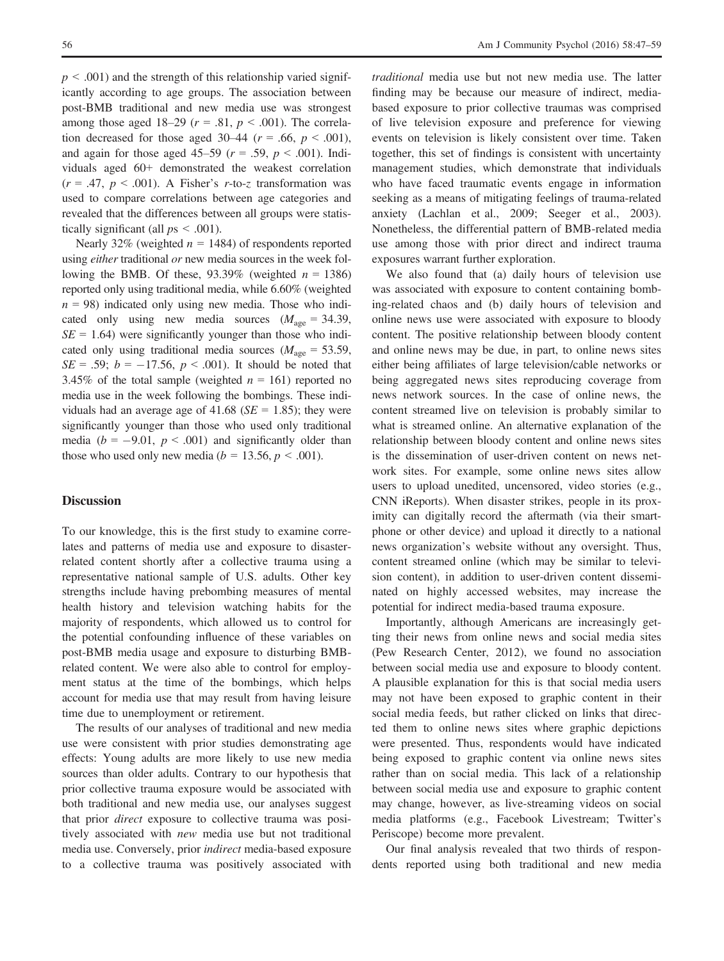$p < .001$ ) and the strength of this relationship varied significantly according to age groups. The association between post-BMB traditional and new media use was strongest among those aged 18–29 ( $r = .81$ ,  $p < .001$ ). The correlation decreased for those aged 30–44 ( $r = .66$ ,  $p < .001$ ), and again for those aged 45–59 ( $r = .59$ ,  $p < .001$ ). Individuals aged 60+ demonstrated the weakest correlation  $(r = .47, p < .001)$ . A Fisher's r-to-z transformation was used to compare correlations between age categories and revealed that the differences between all groups were statistically significant (all  $ps < .001$ ).

Nearly 32% (weighted  $n = 1484$ ) of respondents reported using *either* traditional *or* new media sources in the week following the BMB. Of these, 93.39% (weighted  $n = 1386$ ) reported only using traditional media, while 6.60% (weighted  $n = 98$ ) indicated only using new media. Those who indicated only using new media sources  $(M<sub>age</sub> = 34.39)$ ,  $SE = 1.64$ ) were significantly younger than those who indicated only using traditional media sources ( $M_{\text{age}} = 53.59$ ,  $SE = .59$ ;  $b = -17.56$ ,  $p < .001$ ). It should be noted that 3.45% of the total sample (weighted  $n = 161$ ) reported no media use in the week following the bombings. These individuals had an average age of 41.68 ( $SE = 1.85$ ); they were significantly younger than those who used only traditional media ( $b = -9.01$ ,  $p < .001$ ) and significantly older than those who used only new media ( $b = 13.56$ ,  $p < .001$ ).

# **Discussion**

To our knowledge, this is the first study to examine correlates and patterns of media use and exposure to disasterrelated content shortly after a collective trauma using a representative national sample of U.S. adults. Other key strengths include having prebombing measures of mental health history and television watching habits for the majority of respondents, which allowed us to control for the potential confounding influence of these variables on post-BMB media usage and exposure to disturbing BMBrelated content. We were also able to control for employment status at the time of the bombings, which helps account for media use that may result from having leisure time due to unemployment or retirement.

The results of our analyses of traditional and new media use were consistent with prior studies demonstrating age effects: Young adults are more likely to use new media sources than older adults. Contrary to our hypothesis that prior collective trauma exposure would be associated with both traditional and new media use, our analyses suggest that prior direct exposure to collective trauma was positively associated with new media use but not traditional media use. Conversely, prior indirect media-based exposure to a collective trauma was positively associated with traditional media use but not new media use. The latter finding may be because our measure of indirect, mediabased exposure to prior collective traumas was comprised of live television exposure and preference for viewing events on television is likely consistent over time. Taken together, this set of findings is consistent with uncertainty management studies, which demonstrate that individuals who have faced traumatic events engage in information seeking as a means of mitigating feelings of trauma-related anxiety (Lachlan et al., 2009; Seeger et al., 2003). Nonetheless, the differential pattern of BMB-related media use among those with prior direct and indirect trauma exposures warrant further exploration.

We also found that (a) daily hours of television use was associated with exposure to content containing bombing-related chaos and (b) daily hours of television and online news use were associated with exposure to bloody content. The positive relationship between bloody content and online news may be due, in part, to online news sites either being affiliates of large television/cable networks or being aggregated news sites reproducing coverage from news network sources. In the case of online news, the content streamed live on television is probably similar to what is streamed online. An alternative explanation of the relationship between bloody content and online news sites is the dissemination of user-driven content on news network sites. For example, some online news sites allow users to upload unedited, uncensored, video stories (e.g., CNN iReports). When disaster strikes, people in its proximity can digitally record the aftermath (via their smartphone or other device) and upload it directly to a national news organization's website without any oversight. Thus, content streamed online (which may be similar to television content), in addition to user-driven content disseminated on highly accessed websites, may increase the potential for indirect media-based trauma exposure.

Importantly, although Americans are increasingly getting their news from online news and social media sites (Pew Research Center, 2012), we found no association between social media use and exposure to bloody content. A plausible explanation for this is that social media users may not have been exposed to graphic content in their social media feeds, but rather clicked on links that directed them to online news sites where graphic depictions were presented. Thus, respondents would have indicated being exposed to graphic content via online news sites rather than on social media. This lack of a relationship between social media use and exposure to graphic content may change, however, as live-streaming videos on social media platforms (e.g., Facebook Livestream; Twitter's Periscope) become more prevalent.

Our final analysis revealed that two thirds of respondents reported using both traditional and new media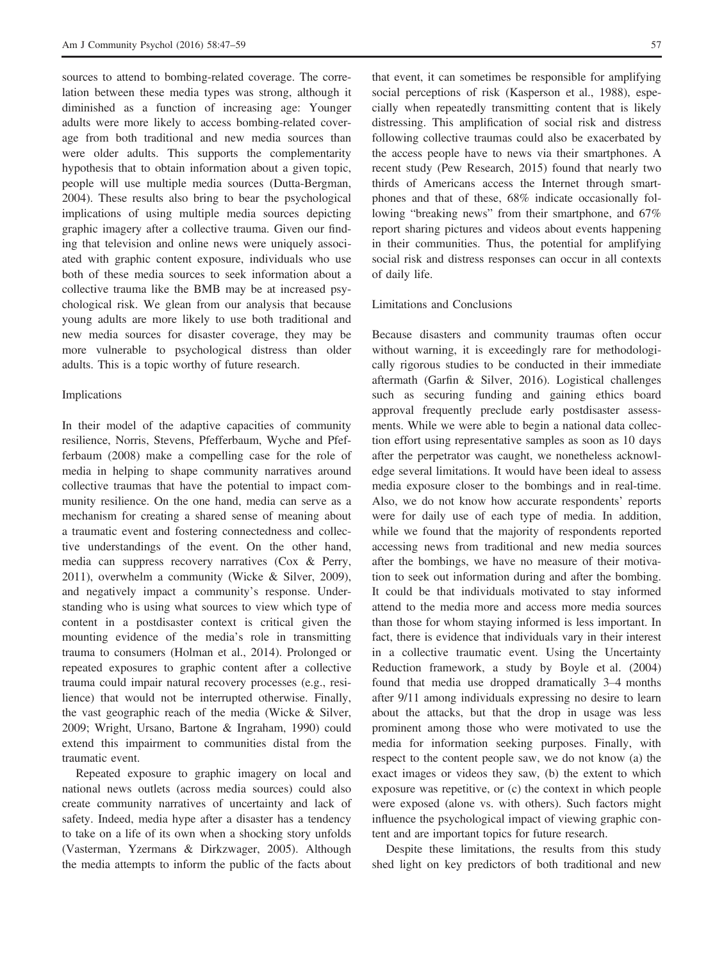sources to attend to bombing-related coverage. The correlation between these media types was strong, although it diminished as a function of increasing age: Younger adults were more likely to access bombing-related coverage from both traditional and new media sources than were older adults. This supports the complementarity hypothesis that to obtain information about a given topic, people will use multiple media sources (Dutta-Bergman, 2004). These results also bring to bear the psychological implications of using multiple media sources depicting graphic imagery after a collective trauma. Given our finding that television and online news were uniquely associated with graphic content exposure, individuals who use both of these media sources to seek information about a collective trauma like the BMB may be at increased psychological risk. We glean from our analysis that because young adults are more likely to use both traditional and new media sources for disaster coverage, they may be more vulnerable to psychological distress than older adults. This is a topic worthy of future research.

# Implications

In their model of the adaptive capacities of community resilience, Norris, Stevens, Pfefferbaum, Wyche and Pfefferbaum (2008) make a compelling case for the role of media in helping to shape community narratives around collective traumas that have the potential to impact community resilience. On the one hand, media can serve as a mechanism for creating a shared sense of meaning about a traumatic event and fostering connectedness and collective understandings of the event. On the other hand, media can suppress recovery narratives (Cox & Perry, 2011), overwhelm a community (Wicke & Silver, 2009), and negatively impact a community's response. Understanding who is using what sources to view which type of content in a postdisaster context is critical given the mounting evidence of the media's role in transmitting trauma to consumers (Holman et al., 2014). Prolonged or repeated exposures to graphic content after a collective trauma could impair natural recovery processes (e.g., resilience) that would not be interrupted otherwise. Finally, the vast geographic reach of the media (Wicke & Silver, 2009; Wright, Ursano, Bartone & Ingraham, 1990) could extend this impairment to communities distal from the traumatic event.

Repeated exposure to graphic imagery on local and national news outlets (across media sources) could also create community narratives of uncertainty and lack of safety. Indeed, media hype after a disaster has a tendency to take on a life of its own when a shocking story unfolds (Vasterman, Yzermans & Dirkzwager, 2005). Although the media attempts to inform the public of the facts about

that event, it can sometimes be responsible for amplifying social perceptions of risk (Kasperson et al., 1988), especially when repeatedly transmitting content that is likely distressing. This amplification of social risk and distress following collective traumas could also be exacerbated by the access people have to news via their smartphones. A recent study (Pew Research, 2015) found that nearly two thirds of Americans access the Internet through smartphones and that of these, 68% indicate occasionally following "breaking news" from their smartphone, and 67% report sharing pictures and videos about events happening in their communities. Thus, the potential for amplifying social risk and distress responses can occur in all contexts of daily life.

## Limitations and Conclusions

Because disasters and community traumas often occur without warning, it is exceedingly rare for methodologically rigorous studies to be conducted in their immediate aftermath (Garfin & Silver, 2016). Logistical challenges such as securing funding and gaining ethics board approval frequently preclude early postdisaster assessments. While we were able to begin a national data collection effort using representative samples as soon as 10 days after the perpetrator was caught, we nonetheless acknowledge several limitations. It would have been ideal to assess media exposure closer to the bombings and in real-time. Also, we do not know how accurate respondents' reports were for daily use of each type of media. In addition, while we found that the majority of respondents reported accessing news from traditional and new media sources after the bombings, we have no measure of their motivation to seek out information during and after the bombing. It could be that individuals motivated to stay informed attend to the media more and access more media sources than those for whom staying informed is less important. In fact, there is evidence that individuals vary in their interest in a collective traumatic event. Using the Uncertainty Reduction framework, a study by Boyle et al. (2004) found that media use dropped dramatically 3–4 months after 9/11 among individuals expressing no desire to learn about the attacks, but that the drop in usage was less prominent among those who were motivated to use the media for information seeking purposes. Finally, with respect to the content people saw, we do not know (a) the exact images or videos they saw, (b) the extent to which exposure was repetitive, or (c) the context in which people were exposed (alone vs. with others). Such factors might influence the psychological impact of viewing graphic content and are important topics for future research.

Despite these limitations, the results from this study shed light on key predictors of both traditional and new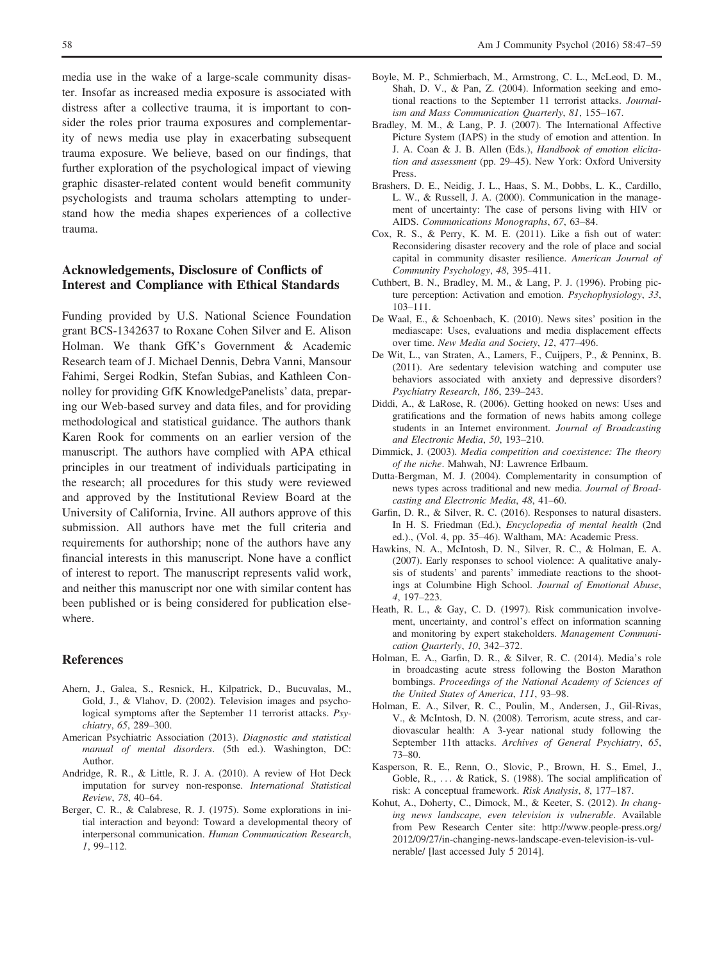media use in the wake of a large-scale community disaster. Insofar as increased media exposure is associated with distress after a collective trauma, it is important to consider the roles prior trauma exposures and complementarity of news media use play in exacerbating subsequent trauma exposure. We believe, based on our findings, that further exploration of the psychological impact of viewing graphic disaster-related content would benefit community psychologists and trauma scholars attempting to understand how the media shapes experiences of a collective trauma.

# Acknowledgements, Disclosure of Conflicts of Interest and Compliance with Ethical Standards

Funding provided by U.S. National Science Foundation grant BCS-1342637 to Roxane Cohen Silver and E. Alison Holman. We thank GfK's Government & Academic Research team of J. Michael Dennis, Debra Vanni, Mansour Fahimi, Sergei Rodkin, Stefan Subias, and Kathleen Connolley for providing GfK KnowledgePanelists' data, preparing our Web-based survey and data files, and for providing methodological and statistical guidance. The authors thank Karen Rook for comments on an earlier version of the manuscript. The authors have complied with APA ethical principles in our treatment of individuals participating in the research; all procedures for this study were reviewed and approved by the Institutional Review Board at the University of California, Irvine. All authors approve of this submission. All authors have met the full criteria and requirements for authorship; none of the authors have any financial interests in this manuscript. None have a conflict of interest to report. The manuscript represents valid work, and neither this manuscript nor one with similar content has been published or is being considered for publication elsewhere.

# References

- Ahern, J., Galea, S., Resnick, H., Kilpatrick, D., Bucuvalas, M., Gold, J., & Vlahov, D. (2002). Television images and psychological symptoms after the September 11 terrorist attacks. Psychiatry, 65, 289–300.
- American Psychiatric Association (2013). Diagnostic and statistical manual of mental disorders. (5th ed.). Washington, DC: Author.
- Andridge, R. R., & Little, R. J. A. (2010). A review of Hot Deck imputation for survey non-response. International Statistical Review, 78, 40–64.
- Berger, C. R., & Calabrese, R. J. (1975). Some explorations in initial interaction and beyond: Toward a developmental theory of interpersonal communication. Human Communication Research, 1, 99–112.
- Boyle, M. P., Schmierbach, M., Armstrong, C. L., McLeod, D. M., Shah, D. V., & Pan, Z. (2004). Information seeking and emotional reactions to the September 11 terrorist attacks. Journalism and Mass Communication Quarterly, 81, 155–167.
- Bradley, M. M., & Lang, P. J. (2007). The International Affective Picture System (IAPS) in the study of emotion and attention. In J. A. Coan & J. B. Allen (Eds.), Handbook of emotion elicitation and assessment (pp. 29–45). New York: Oxford University Press.
- Brashers, D. E., Neidig, J. L., Haas, S. M., Dobbs, L. K., Cardillo, L. W., & Russell, J. A. (2000). Communication in the management of uncertainty: The case of persons living with HIV or AIDS. Communications Monographs, 67, 63–84.
- Cox, R. S., & Perry, K. M. E. (2011). Like a fish out of water: Reconsidering disaster recovery and the role of place and social capital in community disaster resilience. American Journal of Community Psychology, 48, 395–411.
- Cuthbert, B. N., Bradley, M. M., & Lang, P. J. (1996). Probing picture perception: Activation and emotion. *Psychophysiology*, 33, 103–111.
- De Waal, E., & Schoenbach, K. (2010). News sites' position in the mediascape: Uses, evaluations and media displacement effects over time. New Media and Society, 12, 477–496.
- De Wit, L., van Straten, A., Lamers, F., Cuijpers, P., & Penninx, B. (2011). Are sedentary television watching and computer use behaviors associated with anxiety and depressive disorders? Psychiatry Research, 186, 239–243.
- Diddi, A., & LaRose, R. (2006). Getting hooked on news: Uses and gratifications and the formation of news habits among college students in an Internet environment. Journal of Broadcasting and Electronic Media, 50, 193–210.
- Dimmick, J. (2003). Media competition and coexistence: The theory of the niche. Mahwah, NJ: Lawrence Erlbaum.
- Dutta-Bergman, M. J. (2004). Complementarity in consumption of news types across traditional and new media. Journal of Broadcasting and Electronic Media, 48, 41–60.
- Garfin, D. R., & Silver, R. C. (2016). Responses to natural disasters. In H. S. Friedman (Ed.), Encyclopedia of mental health (2nd ed.)., (Vol. 4, pp. 35–46). Waltham, MA: Academic Press.
- Hawkins, N. A., McIntosh, D. N., Silver, R. C., & Holman, E. A. (2007). Early responses to school violence: A qualitative analysis of students' and parents' immediate reactions to the shootings at Columbine High School. Journal of Emotional Abuse, 4, 197–223.
- Heath, R. L., & Gay, C. D. (1997). Risk communication involvement, uncertainty, and control's effect on information scanning and monitoring by expert stakeholders. Management Communication Quarterly, 10, 342–372.
- Holman, E. A., Garfin, D. R., & Silver, R. C. (2014). Media's role in broadcasting acute stress following the Boston Marathon bombings. Proceedings of the National Academy of Sciences of the United States of America, 111, 93–98.
- Holman, E. A., Silver, R. C., Poulin, M., Andersen, J., Gil-Rivas, V., & McIntosh, D. N. (2008). Terrorism, acute stress, and cardiovascular health: A 3-year national study following the September 11th attacks. Archives of General Psychiatry, 65, 73–80.
- Kasperson, R. E., Renn, O., Slovic, P., Brown, H. S., Emel, J., Goble, R., ... & Ratick, S. (1988). The social amplification of risk: A conceptual framework. Risk Analysis, 8, 177–187.
- Kohut, A., Doherty, C., Dimock, M., & Keeter, S. (2012). In changing news landscape, even television is vulnerable. Available from Pew Research Center site: [http://www.people-press.org/](http://www.people-press.org/2012/09/27/in-changing-news-landscape-even-television-is-vulnerable/) [2012/09/27/in-changing-news-landscape-even-television-is-vul](http://www.people-press.org/2012/09/27/in-changing-news-landscape-even-television-is-vulnerable/)[nerable/](http://www.people-press.org/2012/09/27/in-changing-news-landscape-even-television-is-vulnerable/) [last accessed July 5 2014].